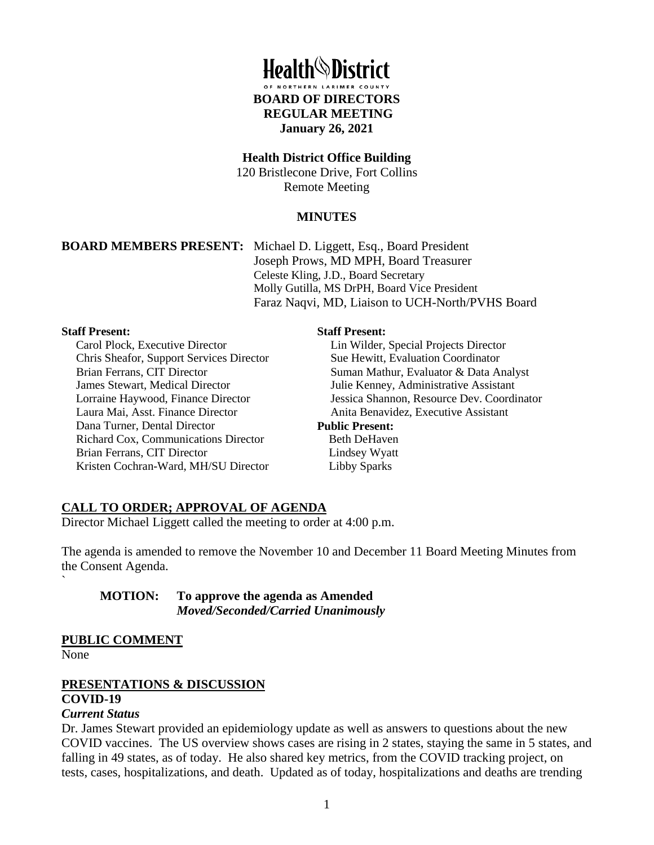

#### **Health District Office Building**

120 Bristlecone Drive, Fort Collins Remote Meeting

## **MINUTES**

**BOARD MEMBERS PRESENT:** Michael D. Liggett, Esq., Board President Joseph Prows, MD MPH, Board Treasurer Celeste Kling, J.D., Board Secretary Molly Gutilla, MS DrPH, Board Vice President Faraz Naqvi, MD, Liaison to UCH-North/PVHS Board

#### **Staff Present:**

Carol Plock, Executive Director Chris Sheafor, Support Services Director Brian Ferrans, CIT Director James Stewart, Medical Director Lorraine Haywood, Finance Director Laura Mai, Asst. Finance Director Dana Turner, Dental Director Richard Cox, Communications Director Brian Ferrans, CIT Director Kristen Cochran-Ward, MH/SU Director

#### **Staff Present:**

Lin Wilder, Special Projects Director Sue Hewitt, Evaluation Coordinator Suman Mathur, Evaluator & Data Analyst Julie Kenney, Administrative Assistant Jessica Shannon, Resource Dev. Coordinator Anita Benavidez, Executive Assistant **Public Present:**

 Beth DeHaven Lindsey Wyatt Libby Sparks

# **CALL TO ORDER; APPROVAL OF AGENDA**

Director Michael Liggett called the meeting to order at 4:00 p.m.

The agenda is amended to remove the November 10 and December 11 Board Meeting Minutes from the Consent Agenda.

**MOTION: To approve the agenda as Amended** *Moved/Seconded/Carried Unanimously* 

## **PUBLIC COMMENT**

None

`

# **PRESENTATIONS & DISCUSSION**

# **COVID-19**

#### *Current Status*

Dr. James Stewart provided an epidemiology update as well as answers to questions about the new COVID vaccines. The US overview shows cases are rising in 2 states, staying the same in 5 states, and falling in 49 states, as of today. He also shared key metrics, from the COVID tracking project, on tests, cases, hospitalizations, and death. Updated as of today, hospitalizations and deaths are trending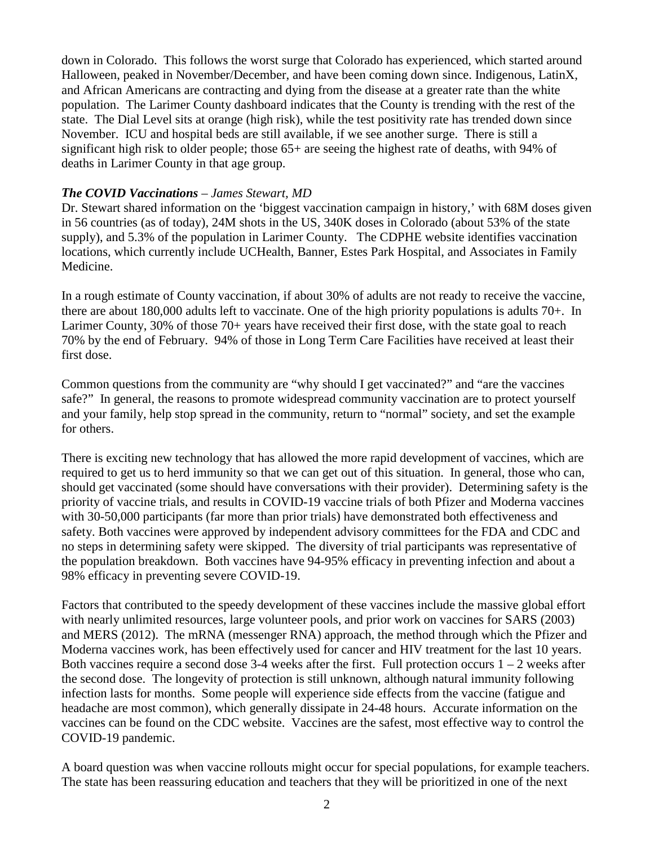down in Colorado. This follows the worst surge that Colorado has experienced, which started around Halloween, peaked in November/December, and have been coming down since. Indigenous, LatinX, and African Americans are contracting and dying from the disease at a greater rate than the white population. The Larimer County dashboard indicates that the County is trending with the rest of the state. The Dial Level sits at orange (high risk), while the test positivity rate has trended down since November. ICU and hospital beds are still available, if we see another surge. There is still a significant high risk to older people; those 65+ are seeing the highest rate of deaths, with 94% of deaths in Larimer County in that age group.

## *The COVID Vaccinations – James Stewart, MD*

Dr. Stewart shared information on the 'biggest vaccination campaign in history,' with 68M doses given in 56 countries (as of today), 24M shots in the US, 340K doses in Colorado (about 53% of the state supply), and 5.3% of the population in Larimer County. The CDPHE website identifies vaccination locations, which currently include UCHealth, Banner, Estes Park Hospital, and Associates in Family Medicine.

In a rough estimate of County vaccination, if about 30% of adults are not ready to receive the vaccine, there are about 180,000 adults left to vaccinate. One of the high priority populations is adults 70+. In Larimer County, 30% of those 70+ years have received their first dose, with the state goal to reach 70% by the end of February. 94% of those in Long Term Care Facilities have received at least their first dose.

Common questions from the community are "why should I get vaccinated?" and "are the vaccines safe?" In general, the reasons to promote widespread community vaccination are to protect yourself and your family, help stop spread in the community, return to "normal" society, and set the example for others.

There is exciting new technology that has allowed the more rapid development of vaccines, which are required to get us to herd immunity so that we can get out of this situation. In general, those who can, should get vaccinated (some should have conversations with their provider). Determining safety is the priority of vaccine trials, and results in COVID-19 vaccine trials of both Pfizer and Moderna vaccines with 30-50,000 participants (far more than prior trials) have demonstrated both effectiveness and safety. Both vaccines were approved by independent advisory committees for the FDA and CDC and no steps in determining safety were skipped. The diversity of trial participants was representative of the population breakdown. Both vaccines have 94-95% efficacy in preventing infection and about a 98% efficacy in preventing severe COVID-19.

Factors that contributed to the speedy development of these vaccines include the massive global effort with nearly unlimited resources, large volunteer pools, and prior work on vaccines for SARS (2003) and MERS (2012). The mRNA (messenger RNA) approach, the method through which the Pfizer and Moderna vaccines work, has been effectively used for cancer and HIV treatment for the last 10 years. Both vaccines require a second dose  $3-4$  weeks after the first. Full protection occurs  $1-2$  weeks after the second dose. The longevity of protection is still unknown, although natural immunity following infection lasts for months. Some people will experience side effects from the vaccine (fatigue and headache are most common), which generally dissipate in 24-48 hours. Accurate information on the vaccines can be found on the CDC website. Vaccines are the safest, most effective way to control the COVID-19 pandemic.

A board question was when vaccine rollouts might occur for special populations, for example teachers. The state has been reassuring education and teachers that they will be prioritized in one of the next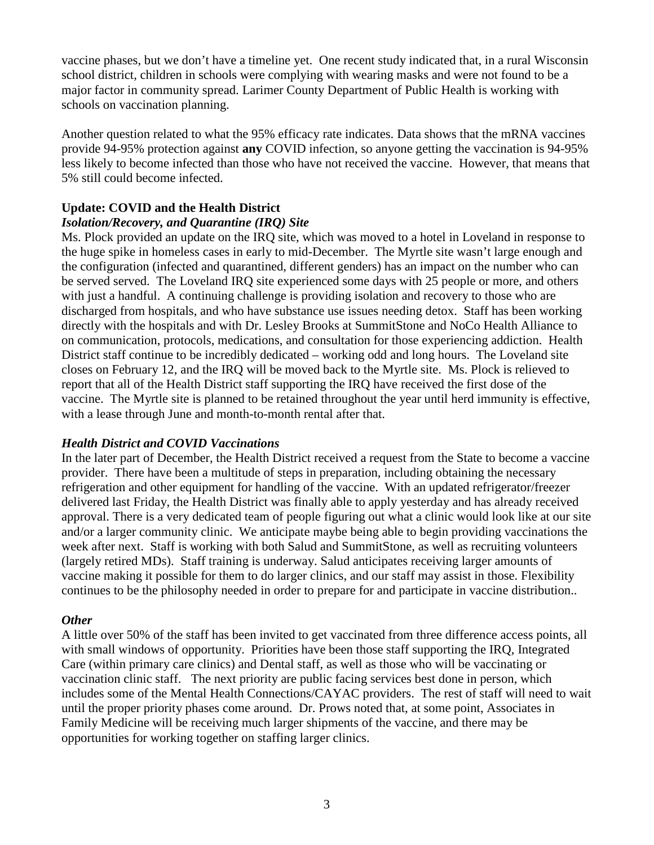vaccine phases, but we don't have a timeline yet. One recent study indicated that, in a rural Wisconsin school district, children in schools were complying with wearing masks and were not found to be a major factor in community spread. Larimer County Department of Public Health is working with schools on vaccination planning.

Another question related to what the 95% efficacy rate indicates. Data shows that the mRNA vaccines provide 94-95% protection against **any** COVID infection, so anyone getting the vaccination is 94-95% less likely to become infected than those who have not received the vaccine. However, that means that 5% still could become infected.

# **Update: COVID and the Health District**

## *Isolation/Recovery, and Quarantine (IRQ) Site*

Ms. Plock provided an update on the IRQ site, which was moved to a hotel in Loveland in response to the huge spike in homeless cases in early to mid-December. The Myrtle site wasn't large enough and the configuration (infected and quarantined, different genders) has an impact on the number who can be served served. The Loveland IRQ site experienced some days with 25 people or more, and others with just a handful. A continuing challenge is providing isolation and recovery to those who are discharged from hospitals, and who have substance use issues needing detox. Staff has been working directly with the hospitals and with Dr. Lesley Brooks at SummitStone and NoCo Health Alliance to on communication, protocols, medications, and consultation for those experiencing addiction. Health District staff continue to be incredibly dedicated – working odd and long hours. The Loveland site closes on February 12, and the IRQ will be moved back to the Myrtle site. Ms. Plock is relieved to report that all of the Health District staff supporting the IRQ have received the first dose of the vaccine. The Myrtle site is planned to be retained throughout the year until herd immunity is effective, with a lease through June and month-to-month rental after that.

## *Health District and COVID Vaccinations*

In the later part of December, the Health District received a request from the State to become a vaccine provider. There have been a multitude of steps in preparation, including obtaining the necessary refrigeration and other equipment for handling of the vaccine. With an updated refrigerator/freezer delivered last Friday, the Health District was finally able to apply yesterday and has already received approval. There is a very dedicated team of people figuring out what a clinic would look like at our site and/or a larger community clinic. We anticipate maybe being able to begin providing vaccinations the week after next. Staff is working with both Salud and SummitStone, as well as recruiting volunteers (largely retired MDs). Staff training is underway. Salud anticipates receiving larger amounts of vaccine making it possible for them to do larger clinics, and our staff may assist in those. Flexibility continues to be the philosophy needed in order to prepare for and participate in vaccine distribution..

## *Other*

A little over 50% of the staff has been invited to get vaccinated from three difference access points, all with small windows of opportunity. Priorities have been those staff supporting the IRQ, Integrated Care (within primary care clinics) and Dental staff, as well as those who will be vaccinating or vaccination clinic staff. The next priority are public facing services best done in person, which includes some of the Mental Health Connections/CAYAC providers. The rest of staff will need to wait until the proper priority phases come around. Dr. Prows noted that, at some point, Associates in Family Medicine will be receiving much larger shipments of the vaccine, and there may be opportunities for working together on staffing larger clinics.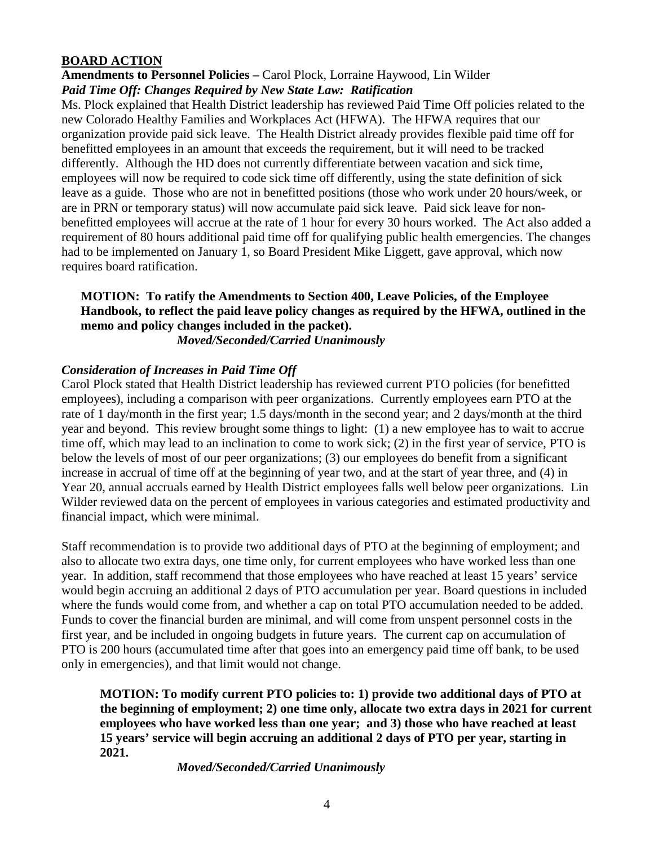# **BOARD ACTION**

#### **Amendments to Personnel Policies –** Carol Plock, Lorraine Haywood, Lin Wilder *Paid Time Off: Changes Required by New State Law: Ratification*

Ms. Plock explained that Health District leadership has reviewed Paid Time Off policies related to the new Colorado Healthy Families and Workplaces Act (HFWA). The HFWA requires that our organization provide paid sick leave. The Health District already provides flexible paid time off for benefitted employees in an amount that exceeds the requirement, but it will need to be tracked differently. Although the HD does not currently differentiate between vacation and sick time, employees will now be required to code sick time off differently, using the state definition of sick leave as a guide. Those who are not in benefitted positions (those who work under 20 hours/week, or are in PRN or temporary status) will now accumulate paid sick leave. Paid sick leave for nonbenefitted employees will accrue at the rate of 1 hour for every 30 hours worked. The Act also added a requirement of 80 hours additional paid time off for qualifying public health emergencies. The changes had to be implemented on January 1, so Board President Mike Liggett, gave approval, which now requires board ratification.

# **MOTION: To ratify the Amendments to Section 400, Leave Policies, of the Employee Handbook, to reflect the paid leave policy changes as required by the HFWA, outlined in the memo and policy changes included in the packet).**

*Moved/Seconded/Carried Unanimously* 

## *Consideration of Increases in Paid Time Off*

Carol Plock stated that Health District leadership has reviewed current PTO policies (for benefitted employees), including a comparison with peer organizations. Currently employees earn PTO at the rate of 1 day/month in the first year; 1.5 days/month in the second year; and 2 days/month at the third year and beyond. This review brought some things to light: (1) a new employee has to wait to accrue time off, which may lead to an inclination to come to work sick; (2) in the first year of service, PTO is below the levels of most of our peer organizations; (3) our employees do benefit from a significant increase in accrual of time off at the beginning of year two, and at the start of year three, and (4) in Year 20, annual accruals earned by Health District employees falls well below peer organizations. Lin Wilder reviewed data on the percent of employees in various categories and estimated productivity and financial impact, which were minimal.

Staff recommendation is to provide two additional days of PTO at the beginning of employment; and also to allocate two extra days, one time only, for current employees who have worked less than one year. In addition, staff recommend that those employees who have reached at least 15 years' service would begin accruing an additional 2 days of PTO accumulation per year. Board questions in included where the funds would come from, and whether a cap on total PTO accumulation needed to be added. Funds to cover the financial burden are minimal, and will come from unspent personnel costs in the first year, and be included in ongoing budgets in future years. The current cap on accumulation of PTO is 200 hours (accumulated time after that goes into an emergency paid time off bank, to be used only in emergencies), and that limit would not change.

**MOTION: To modify current PTO policies to: 1) provide two additional days of PTO at the beginning of employment; 2) one time only, allocate two extra days in 2021 for current employees who have worked less than one year; and 3) those who have reached at least 15 years' service will begin accruing an additional 2 days of PTO per year, starting in 2021.** 

*Moved/Seconded/Carried Unanimously*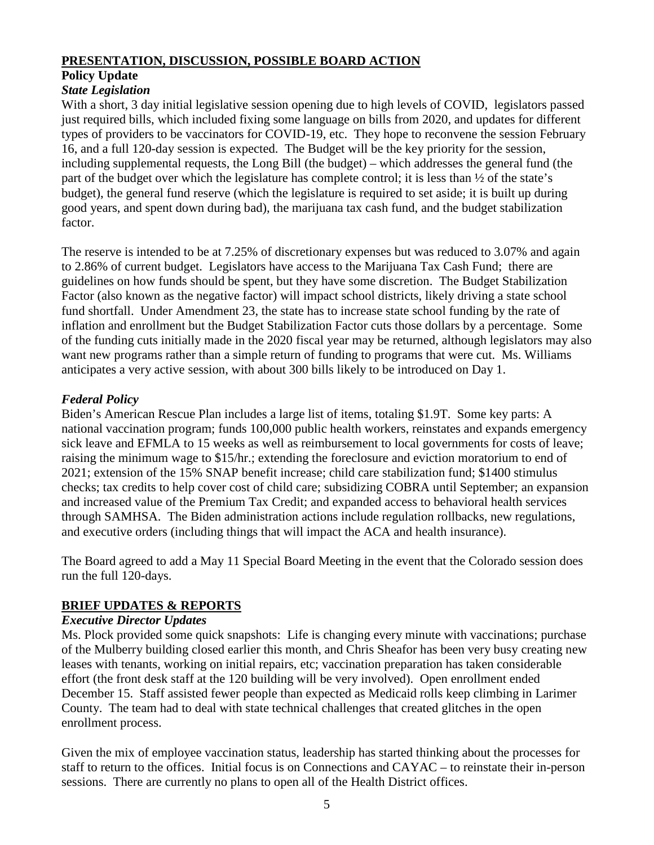# **PRESENTATION, DISCUSSION, POSSIBLE BOARD ACTION**

# **Policy Update**

# *State Legislation*

With a short, 3 day initial legislative session opening due to high levels of COVID, legislators passed just required bills, which included fixing some language on bills from 2020, and updates for different types of providers to be vaccinators for COVID-19, etc. They hope to reconvene the session February 16, and a full 120-day session is expected. The Budget will be the key priority for the session, including supplemental requests, the Long Bill (the budget) – which addresses the general fund (the part of the budget over which the legislature has complete control; it is less than ½ of the state's budget), the general fund reserve (which the legislature is required to set aside; it is built up during good years, and spent down during bad), the marijuana tax cash fund, and the budget stabilization factor.

The reserve is intended to be at 7.25% of discretionary expenses but was reduced to 3.07% and again to 2.86% of current budget. Legislators have access to the Marijuana Tax Cash Fund; there are guidelines on how funds should be spent, but they have some discretion. The Budget Stabilization Factor (also known as the negative factor) will impact school districts, likely driving a state school fund shortfall. Under Amendment 23, the state has to increase state school funding by the rate of inflation and enrollment but the Budget Stabilization Factor cuts those dollars by a percentage. Some of the funding cuts initially made in the 2020 fiscal year may be returned, although legislators may also want new programs rather than a simple return of funding to programs that were cut. Ms. Williams anticipates a very active session, with about 300 bills likely to be introduced on Day 1.

# *Federal Policy*

Biden's American Rescue Plan includes a large list of items, totaling \$1.9T. Some key parts: A national vaccination program; funds 100,000 public health workers, reinstates and expands emergency sick leave and EFMLA to 15 weeks as well as reimbursement to local governments for costs of leave; raising the minimum wage to \$15/hr.; extending the foreclosure and eviction moratorium to end of 2021; extension of the 15% SNAP benefit increase; child care stabilization fund; \$1400 stimulus checks; tax credits to help cover cost of child care; subsidizing COBRA until September; an expansion and increased value of the Premium Tax Credit; and expanded access to behavioral health services through SAMHSA. The Biden administration actions include regulation rollbacks, new regulations, and executive orders (including things that will impact the ACA and health insurance).

The Board agreed to add a May 11 Special Board Meeting in the event that the Colorado session does run the full 120-days.

# **BRIEF UPDATES & REPORTS**

## *Executive Director Updates*

Ms. Plock provided some quick snapshots: Life is changing every minute with vaccinations; purchase of the Mulberry building closed earlier this month, and Chris Sheafor has been very busy creating new leases with tenants, working on initial repairs, etc; vaccination preparation has taken considerable effort (the front desk staff at the 120 building will be very involved). Open enrollment ended December 15. Staff assisted fewer people than expected as Medicaid rolls keep climbing in Larimer County. The team had to deal with state technical challenges that created glitches in the open enrollment process.

Given the mix of employee vaccination status, leadership has started thinking about the processes for staff to return to the offices. Initial focus is on Connections and CAYAC – to reinstate their in-person sessions. There are currently no plans to open all of the Health District offices.